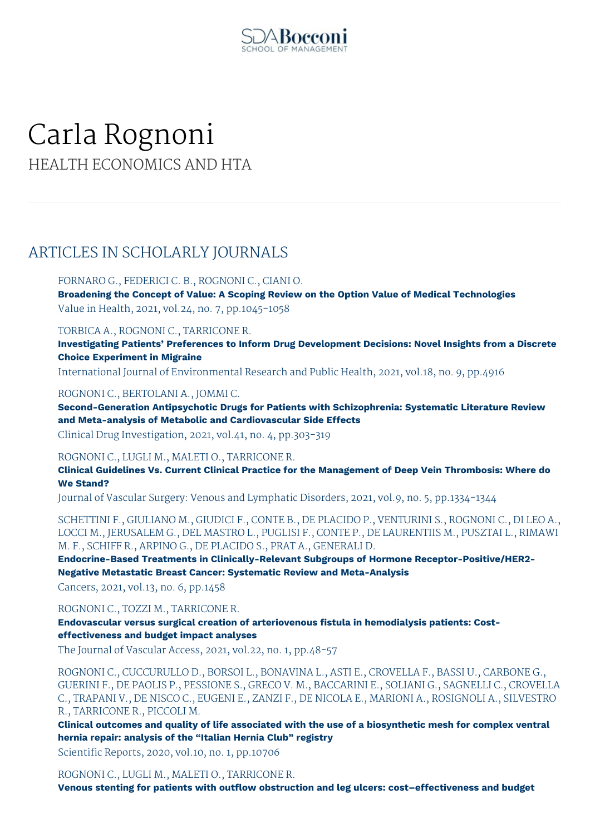

# Carla Rognoni HEALTH ECONOMICS AND HTA

# ARTICLES IN SCHOLARLY JOURNALS

FORNARO G., FEDERICI C. B., ROGNONI C., CIANI O. **Broadening the Concept of Value: A Scoping Review on the Option Value of Medical Technologies** Value in Health, 2021, vol.24, no. 7, pp.1045-1058

TORBICA A., ROGNONI C., TARRICONE R.

**Investigating Patients' Preferences to Inform Drug Development Decisions: Novel Insights from a Discrete Choice Experiment in Migraine**

International Journal of Environmental Research and Public Health, 2021, vol.18, no. 9, pp.4916

ROGNONI C., BERTOLANI A., JOMMI C.

**Second-Generation Antipsychotic Drugs for Patients with Schizophrenia: Systematic Literature Review and Meta-analysis of Metabolic and Cardiovascular Side Effects**

Clinical Drug Investigation, 2021, vol.41, no. 4, pp.303-319

ROGNONI C., LUGLI M., MALETI O., TARRICONE R.

**Clinical Guidelines Vs. Current Clinical Practice for the Management of Deep Vein Thrombosis: Where do We Stand?**

Journal of Vascular Surgery: Venous and Lymphatic Disorders, 2021, vol.9, no. 5, pp.1334-1344

SCHETTINI F., GIULIANO M., GIUDICI F., CONTE B., DE PLACIDO P., VENTURINI S., ROGNONI C., DI LEO A., LOCCI M., JERUSALEM G., DEL MASTRO L., PUGLISI F., CONTE P., DE LAURENTIIS M., PUSZTAI L., RIMAWI M. F., SCHIFF R., ARPINO G., DE PLACIDO S., PRAT A., GENERALI D.

**Endocrine-Based Treatments in Clinically-Relevant Subgroups of Hormone Receptor-Positive/HER2- Negative Metastatic Breast Cancer: Systematic Review and Meta-Analysis**

Cancers, 2021, vol.13, no. 6, pp.1458

ROGNONI C., TOZZI M., TARRICONE R.

**Endovascular versus surgical creation of arteriovenous fistula in hemodialysis patients: Costeffectiveness and budget impact analyses**

The Journal of Vascular Access, 2021, vol.22, no. 1, pp.48-57

ROGNONI C., CUCCURULLO D., BORSOI L., BONAVINA L., ASTI E., CROVELLA F., BASSI U., CARBONE G., GUERINI F., DE PAOLIS P., PESSIONE S., GRECO V. M., BACCARINI E., SOLIANI G., SAGNELLI C., CROVELLA C., TRAPANI V., DE NISCO C., EUGENI E., ZANZI F., DE NICOLA E., MARIONI A., ROSIGNOLI A., SILVESTRO R., TARRICONE R., PICCOLI M.

**Clinical outcomes and quality of life associated with the use of a biosynthetic mesh for complex ventral hernia repair: analysis of the "Italian Hernia Club" registry**

Scientific Reports, 2020, vol.10, no. 1, pp.10706

ROGNONI C., LUGLI M., MALETI O., TARRICONE R.

**Venous stenting for patients with outflow obstruction and leg ulcers: cost–effectiveness and budget**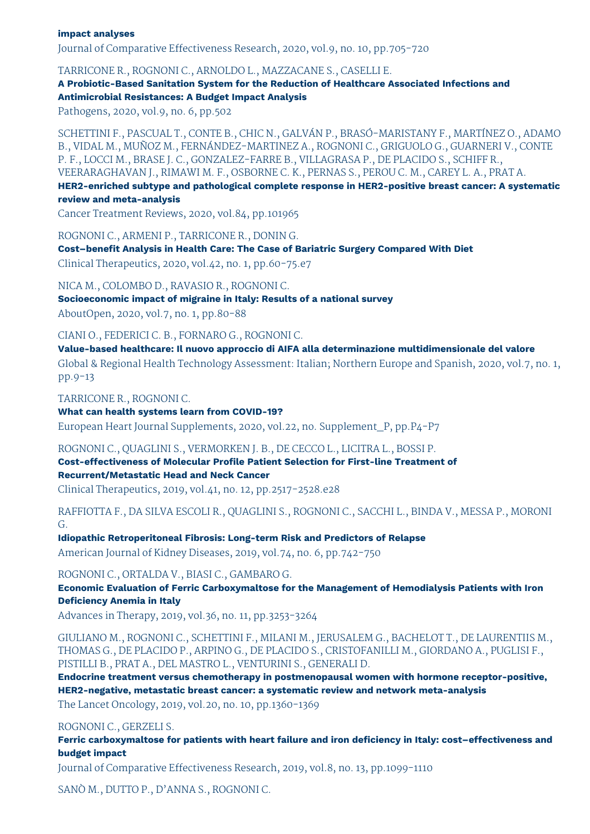#### **impact analyses**

Journal of Comparative Effectiveness Research, 2020, vol.9, no. 10, pp.705-720

TARRICONE R., ROGNONI C., ARNOLDO L., MAZZACANE S., CASELLI E.

**A Probiotic-Based Sanitation System for the Reduction of Healthcare Associated Infections and Antimicrobial Resistances: A Budget Impact Analysis**

Pathogens, 2020, vol.9, no. 6, pp.502

SCHETTINI F., PASCUAL T., CONTE B., CHIC N., GALVÁN P., BRASÓ-MARISTANY F., MARTÍNEZ O., ADAMO B., VIDAL M., MUÑOZ M., FERNÁNDEZ-MARTINEZ A., ROGNONI C., GRIGUOLO G., GUARNERI V., CONTE P. F., LOCCI M., BRASE J. C., GONZALEZ-FARRE B., VILLAGRASA P., DE PLACIDO S., SCHIFF R., VEERARAGHAVAN J., RIMAWI M. F., OSBORNE C. K., PERNAS S., PEROU C. M., CAREY L. A., PRAT A.

**HER2-enriched subtype and pathological complete response in HER2-positive breast cancer: A systematic review and meta-analysis**

Cancer Treatment Reviews, 2020, vol.84, pp.101965

ROGNONI C., ARMENI P., TARRICONE R., DONIN G.

**Cost–benefit Analysis in Health Care: The Case of Bariatric Surgery Compared With Diet** Clinical Therapeutics, 2020, vol.42, no. 1, pp.60-75.e7

NICA M., COLOMBO D., RAVASIO R., ROGNONI C.

**Socioeconomic impact of migraine in Italy: Results of a national survey** AboutOpen, 2020, vol.7, no. 1, pp.80-88

CIANI O., FEDERICI C. B., FORNARO G., ROGNONI C.

**Value-based healthcare: Il nuovo approccio di AIFA alla determinazione multidimensionale del valore** Global & Regional Health Technology Assessment: Italian; Northern Europe and Spanish, 2020, vol.7, no. 1, pp.9-13

TARRICONE R., ROGNONI C.

**What can health systems learn from COVID-19?** European Heart Journal Supplements, 2020, vol.22, no. Supplement\_P, pp.P4-P7

ROGNONI C., QUAGLINI S., VERMORKEN J. B., DE CECCO L., LICITRA L., BOSSI P.

**Cost-effectiveness of Molecular Profile Patient Selection for First-line Treatment of Recurrent/Metastatic Head and Neck Cancer**

Clinical Therapeutics, 2019, vol.41, no. 12, pp.2517-2528.e28

RAFFIOTTA F., DA SILVA ESCOLI R., QUAGLINI S., ROGNONI C., SACCHI L., BINDA V., MESSA P., MORONI G.

**Idiopathic Retroperitoneal Fibrosis: Long-term Risk and Predictors of Relapse** American Journal of Kidney Diseases, 2019, vol.74, no. 6, pp.742-750

ROGNONI C., ORTALDA V., BIASI C., GAMBARO G.

**Economic Evaluation of Ferric Carboxymaltose for the Management of Hemodialysis Patients with Iron Deficiency Anemia in Italy**

Advances in Therapy, 2019, vol.36, no. 11, pp.3253-3264

GIULIANO M., ROGNONI C., SCHETTINI F., MILANI M., JERUSALEM G., BACHELOT T., DE LAURENTIIS M., THOMAS G., DE PLACIDO P., ARPINO G., DE PLACIDO S., CRISTOFANILLI M., GIORDANO A., PUGLISI F., PISTILLI B., PRAT A., DEL MASTRO L., VENTURINI S., GENERALI D.

**Endocrine treatment versus chemotherapy in postmenopausal women with hormone receptor-positive, HER2-negative, metastatic breast cancer: a systematic review and network meta-analysis** The Lancet Oncology, 2019, vol.20, no. 10, pp.1360-1369

ROGNONI C., GERZELI S.

**Ferric carboxymaltose for patients with heart failure and iron deficiency in Italy: cost–effectiveness and budget impact**

Journal of Comparative Effectiveness Research, 2019, vol.8, no. 13, pp.1099-1110

SANÒ M., DUTTO P., D'ANNA S., ROGNONI C.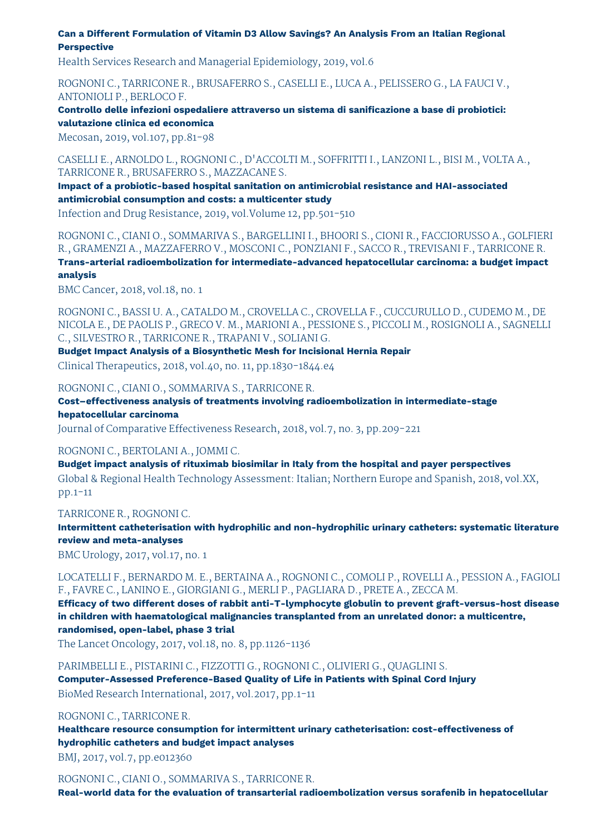**Can a Different Formulation of Vitamin D3 Allow Savings? An Analysis From an Italian Regional Perspective**

Health Services Research and Managerial Epidemiology, 2019, vol.6

ROGNONI C., TARRICONE R., BRUSAFERRO S., CASELLI E., LUCA A., PELISSERO G., LA FAUCI V., ANTONIOLI P., BERLOCO F.

**Controllo delle infezioni ospedaliere attraverso un sistema di sanificazione a base di probiotici: valutazione clinica ed economica**

Mecosan, 2019, vol.107, pp.81-98

CASELLI E., ARNOLDO L., ROGNONI C., D'ACCOLTI M., SOFFRITTI I., LANZONI L., BISI M., VOLTA A., TARRICONE R., BRUSAFERRO S., MAZZACANE S.

**Impact of a probiotic-based hospital sanitation on antimicrobial resistance and HAI-associated antimicrobial consumption and costs: a multicenter study**

Infection and Drug Resistance, 2019, vol.Volume 12, pp.501-510

ROGNONI C., CIANI O., SOMMARIVA S., BARGELLINI I., BHOORI S., CIONI R., FACCIORUSSO A., GOLFIERI R., GRAMENZI A., MAZZAFERRO V., MOSCONI C., PONZIANI F., SACCO R., TREVISANI F., TARRICONE R. **Trans-arterial radioembolization for intermediate-advanced hepatocellular carcinoma: a budget impact analysis**

BMC Cancer, 2018, vol.18, no. 1

ROGNONI C., BASSI U. A., CATALDO M., CROVELLA C., CROVELLA F., CUCCURULLO D., CUDEMO M., DE NICOLA E., DE PAOLIS P., GRECO V. M., MARIONI A., PESSIONE S., PICCOLI M., ROSIGNOLI A., SAGNELLI C., SILVESTRO R., TARRICONE R., TRAPANI V., SOLIANI G.

**Budget Impact Analysis of a Biosynthetic Mesh for Incisional Hernia Repair** Clinical Therapeutics, 2018, vol.40, no. 11, pp.1830-1844.e4

ROGNONI C., CIANI O., SOMMARIVA S., TARRICONE R.

**Cost–effectiveness analysis of treatments involving radioembolization in intermediate-stage hepatocellular carcinoma**

Journal of Comparative Effectiveness Research, 2018, vol.7, no. 3, pp.209-221

ROGNONI C., BERTOLANI A., JOMMI C.

**Budget impact analysis of rituximab biosimilar in Italy from the hospital and payer perspectives** Global & Regional Health Technology Assessment: Italian; Northern Europe and Spanish, 2018, vol.XX, pp.1-11

TARRICONE R., ROGNONI C.

**Intermittent catheterisation with hydrophilic and non-hydrophilic urinary catheters: systematic literature review and meta-analyses**

BMC Urology, 2017, vol.17, no. 1

LOCATELLI F., BERNARDO M. E., BERTAINA A., ROGNONI C., COMOLI P., ROVELLI A., PESSION A., FAGIOLI F., FAVRE C., LANINO E., GIORGIANI G., MERLI P., PAGLIARA D., PRETE A., ZECCA M.

**Efficacy of two different doses of rabbit anti-T-lymphocyte globulin to prevent graft-versus-host disease in children with haematological malignancies transplanted from an unrelated donor: a multicentre, randomised, open-label, phase 3 trial**

The Lancet Oncology, 2017, vol.18, no. 8, pp.1126-1136

PARIMBELLI E., PISTARINI C., FIZZOTTI G., ROGNONI C., OLIVIERI G., QUAGLINI S. **Computer-Assessed Preference-Based Quality of Life in Patients with Spinal Cord Injury** BioMed Research International, 2017, vol.2017, pp.1-11

ROGNONI C., TARRICONE R.

**Healthcare resource consumption for intermittent urinary catheterisation: cost-effectiveness of hydrophilic catheters and budget impact analyses**

BMJ, 2017, vol.7, pp.e012360

ROGNONI C., CIANI O., SOMMARIVA S., TARRICONE R.

**Real-world data for the evaluation of transarterial radioembolization versus sorafenib in hepatocellular**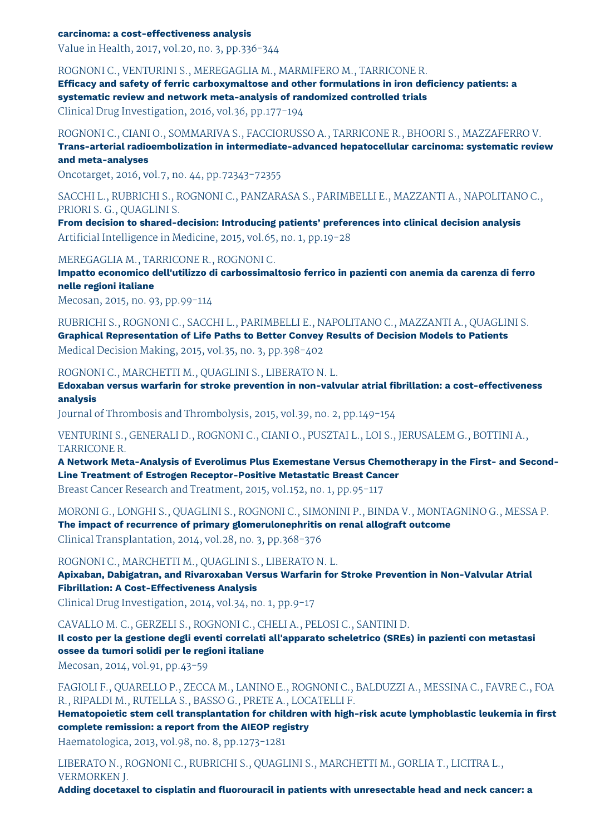#### **carcinoma: a cost-effectiveness analysis**

Value in Health, 2017, vol.20, no. 3, pp.336-344

ROGNONI C., VENTURINI S., MEREGAGLIA M., MARMIFERO M., TARRICONE R.

**Efficacy and safety of ferric carboxymaltose and other formulations in iron deficiency patients: a systematic review and network meta-analysis of randomized controlled trials**

Clinical Drug Investigation, 2016, vol.36, pp.177-194

ROGNONI C., CIANI O., SOMMARIVA S., FACCIORUSSO A., TARRICONE R., BHOORI S., MAZZAFERRO V. **Trans-arterial radioembolization in intermediate-advanced hepatocellular carcinoma: systematic review**

#### **and meta-analyses**

Oncotarget, 2016, vol.7, no. 44, pp.72343-72355

SACCHI L., RUBRICHI S., ROGNONI C., PANZARASA S., PARIMBELLI E., MAZZANTI A., NAPOLITANO C., PRIORI S. G., QUAGLINI S.

**From decision to shared-decision: Introducing patients' preferences into clinical decision analysis** Artificial Intelligence in Medicine, 2015, vol.65, no. 1, pp.19-28

MEREGAGLIA M., TARRICONE R., ROGNONI C.

**Impatto economico dell'utilizzo di carbossimaltosio ferrico in pazienti con anemia da carenza di ferro nelle regioni italiane**

Mecosan, 2015, no. 93, pp.99-114

RUBRICHI S., ROGNONI C., SACCHI L., PARIMBELLI E., NAPOLITANO C., MAZZANTI A., QUAGLINI S. **Graphical Representation of Life Paths to Better Convey Results of Decision Models to Patients** Medical Decision Making, 2015, vol.35, no. 3, pp.398-402

ROGNONI C., MARCHETTI M., QUAGLINI S., LIBERATO N. L.

**Edoxaban versus warfarin for stroke prevention in non-valvular atrial fibrillation: a cost-effectiveness analysis**

Journal of Thrombosis and Thrombolysis, 2015, vol.39, no. 2, pp.149-154

VENTURINI S., GENERALI D., ROGNONI C., CIANI O., PUSZTAI L., LOI S., JERUSALEM G., BOTTINI A., TARRICONE R.

**A Network Meta-Analysis of Everolimus Plus Exemestane Versus Chemotherapy in the First- and Second-Line Treatment of Estrogen Receptor-Positive Metastatic Breast Cancer**

Breast Cancer Research and Treatment, 2015, vol.152, no. 1, pp.95-117

MORONI G., LONGHI S., QUAGLINI S., ROGNONI C., SIMONINI P., BINDA V., MONTAGNINO G., MESSA P. **The impact of recurrence of primary glomerulonephritis on renal allograft outcome** Clinical Transplantation, 2014, vol.28, no. 3, pp.368-376

ROGNONI C., MARCHETTI M., QUAGLINI S., LIBERATO N. L.

**Apixaban, Dabigatran, and Rivaroxaban Versus Warfarin for Stroke Prevention in Non-Valvular Atrial Fibrillation: A Cost-Effectiveness Analysis**

Clinical Drug Investigation, 2014, vol.34, no. 1, pp.9-17

CAVALLO M. C., GERZELI S., ROGNONI C., CHELI A., PELOSI C., SANTINI D.

**Il costo per la gestione degli eventi correlati all'apparato scheletrico (SREs) in pazienti con metastasi ossee da tumori solidi per le regioni italiane**

Mecosan, 2014, vol.91, pp.43-59

FAGIOLI F., QUARELLO P., ZECCA M., LANINO E., ROGNONI C., BALDUZZI A., MESSINA C., FAVRE C., FOA R., RIPALDI M., RUTELLA S., BASSO G., PRETE A., LOCATELLI F.

**Hematopoietic stem cell transplantation for children with high-risk acute lymphoblastic leukemia in first complete remission: a report from the AIEOP registry**

Haematologica, 2013, vol.98, no. 8, pp.1273-1281

LIBERATO N., ROGNONI C., RUBRICHI S., QUAGLINI S., MARCHETTI M., GORLIA T., LICITRA L., VERMORKEN J.

**Adding docetaxel to cisplatin and fluorouracil in patients with unresectable head and neck cancer: a**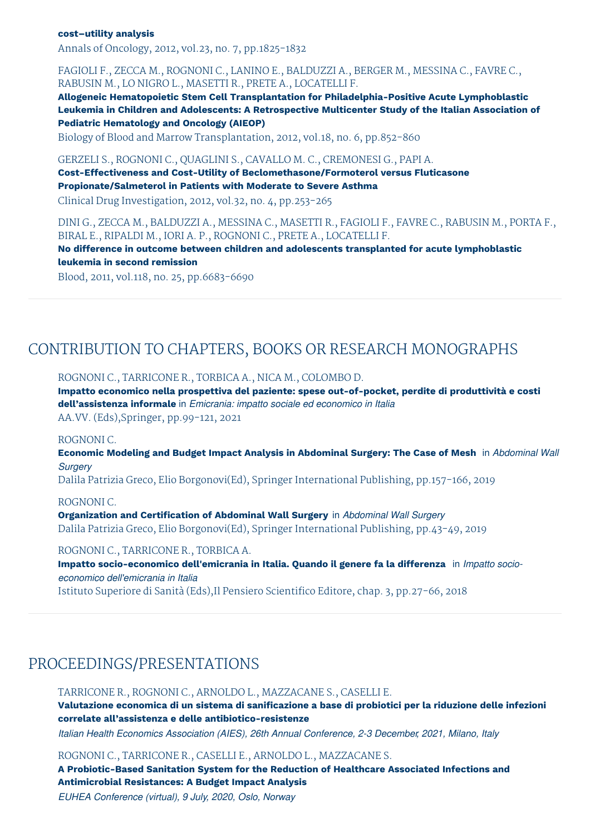#### **cost–utility analysis**

Annals of Oncology, 2012, vol.23, no. 7, pp.1825-1832

#### FAGIOLI F., ZECCA M., ROGNONI C., LANINO E., BALDUZZI A., BERGER M., MESSINA C., FAVRE C., RABUSIN M., LO NIGRO L., MASETTI R., PRETE A., LOCATELLI F.

**Allogeneic Hematopoietic Stem Cell Transplantation for Philadelphia-Positive Acute Lymphoblastic Leukemia in Children and Adolescents: A Retrospective Multicenter Study of the Italian Association of Pediatric Hematology and Oncology (AIEOP)**

Biology of Blood and Marrow Transplantation, 2012, vol.18, no. 6, pp.852-860

#### GERZELI S., ROGNONI C., QUAGLINI S., CAVALLO M. C., CREMONESI G., PAPI A.

**Cost-Effectiveness and Cost-Utility of Beclomethasone/Formoterol versus Fluticasone Propionate/Salmeterol in Patients with Moderate to Severe Asthma**

Clinical Drug Investigation, 2012, vol.32, no. 4, pp.253-265

DINI G., ZECCA M., BALDUZZI A., MESSINA C., MASETTI R., FAGIOLI F., FAVRE C., RABUSIN M., PORTA F., BIRAL E., RIPALDI M., IORI A. P., ROGNONI C., PRETE A., LOCATELLI F.

**No difference in outcome between children and adolescents transplanted for acute lymphoblastic leukemia in second remission**

Blood, 2011, vol.118, no. 25, pp.6683-6690

### CONTRIBUTION TO CHAPTERS, BOOKS OR RESEARCH MONOGRAPHS

ROGNONI C., TARRICONE R., TORBICA A., NICA M., COLOMBO D.

**Impatto economico nella prospettiva del paziente: spese out-of-pocket, perdite di produttività e costi dell'assistenza informale** in *Emicrania: impatto sociale ed economico in Italia* AA.VV. (Eds),Springer, pp.99-121, 2021

#### ROGNONI C.

**Economic Modeling and Budget Impact Analysis in Abdominal Surgery: The Case of Mesh** in *Abdominal Wall Surgery*

Dalila Patrizia Greco, Elio Borgonovi(Ed), Springer International Publishing, pp.157-166, 2019

#### ROGNONI C.

**Organization and Certification of Abdominal Wall Surgery** in *Abdominal Wall Surgery* Dalila Patrizia Greco, Elio Borgonovi(Ed), Springer International Publishing, pp.43-49, 2019

#### ROGNONI C., TARRICONE R., TORBICA A.

**Impatto socio-economico dell'emicrania in Italia. Quando il genere fa la differenza** in *Impatto socioeconomico dell'emicrania in Italia* Istituto Superiore di Sanità (Eds),Il Pensiero Scientifico Editore, chap. 3, pp.27-66, 2018

## PROCEEDINGS/PRESENTATIONS

TARRICONE R., ROGNONI C., ARNOLDO L., MAZZACANE S., CASELLI E. **Valutazione economica di un sistema di sanificazione a base di probiotici per la riduzione delle infezioni correlate all'assistenza e delle antibiotico-resistenze**

*Italian Health Economics Association (AIES), 26th Annual Conference, 2-3 December, 2021, Milano, Italy*

ROGNONI C., TARRICONE R., CASELLI E., ARNOLDO L., MAZZACANE S.

**A Probiotic-Based Sanitation System for the Reduction of Healthcare Associated Infections and Antimicrobial Resistances: A Budget Impact Analysis**

*EUHEA Conference (virtual), 9 July, 2020, Oslo, Norway*